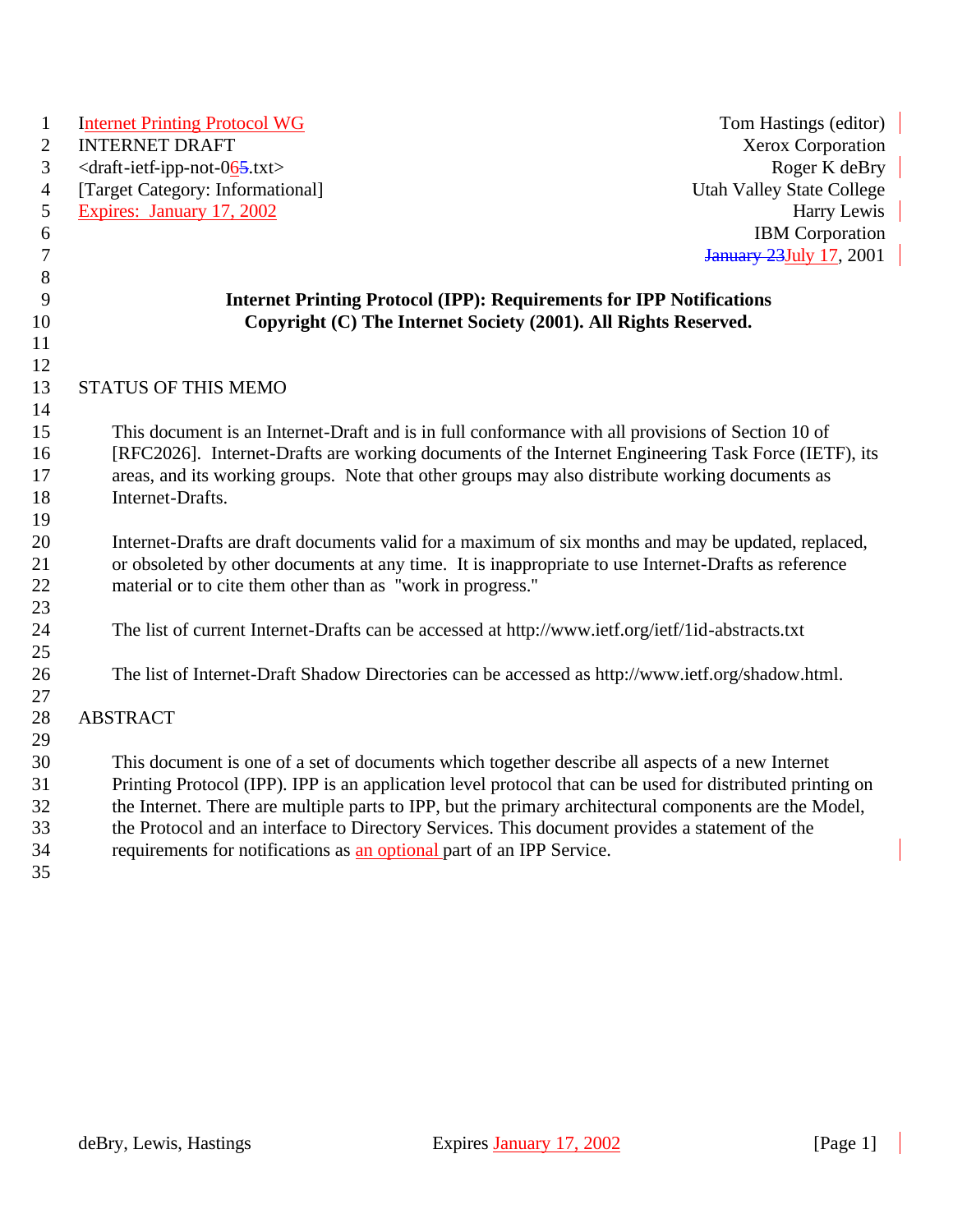| $\mathbf{1}$     | <b>Internet Printing Protocol WG</b>                                                                       | Tom Hastings (editor)            |
|------------------|------------------------------------------------------------------------------------------------------------|----------------------------------|
| $\overline{2}$   | <b>INTERNET DRAFT</b>                                                                                      | Xerox Corporation                |
| 3                | <draft-ietf-ipp-not-065.txt></draft-ietf-ipp-not-065.txt>                                                  | Roger K deBry                    |
| $\overline{4}$   | [Target Category: Informational]                                                                           | <b>Utah Valley State College</b> |
| $\sqrt{5}$       | Expires: January 17, 2002                                                                                  | Harry Lewis                      |
| $\sqrt{6}$       |                                                                                                            | <b>IBM</b> Corporation           |
| $\boldsymbol{7}$ |                                                                                                            | January 23 July 17, 2001         |
| 8                |                                                                                                            |                                  |
| 9                | <b>Internet Printing Protocol (IPP): Requirements for IPP Notifications</b>                                |                                  |
| 10               | Copyright (C) The Internet Society (2001). All Rights Reserved.                                            |                                  |
| 11               |                                                                                                            |                                  |
| 12               |                                                                                                            |                                  |
| 13               | STATUS OF THIS MEMO                                                                                        |                                  |
| 14               |                                                                                                            |                                  |
| 15               | This document is an Internet-Draft and is in full conformance with all provisions of Section 10 of         |                                  |
| 16               | [RFC2026]. Internet-Drafts are working documents of the Internet Engineering Task Force (IETF), its        |                                  |
| 17               | areas, and its working groups. Note that other groups may also distribute working documents as             |                                  |
| 18               | Internet-Drafts.                                                                                           |                                  |
| 19               |                                                                                                            |                                  |
| 20               | Internet-Drafts are draft documents valid for a maximum of six months and may be updated, replaced,        |                                  |
| 21               | or obsoleted by other documents at any time. It is inappropriate to use Internet-Drafts as reference       |                                  |
| 22               | material or to cite them other than as "work in progress."                                                 |                                  |
| 23               |                                                                                                            |                                  |
| 24               | The list of current Internet-Drafts can be accessed at http://www.ietf.org/ietf/1id-abstracts.txt          |                                  |
| 25               |                                                                                                            |                                  |
| 26               | The list of Internet-Draft Shadow Directories can be accessed as http://www.ietf.org/shadow.html.          |                                  |
| 27               |                                                                                                            |                                  |
| 28               | <b>ABSTRACT</b>                                                                                            |                                  |
| 29               |                                                                                                            |                                  |
| 30               | This document is one of a set of documents which together describe all aspects of a new Internet           |                                  |
| 31               | Printing Protocol (IPP). IPP is an application level protocol that can be used for distributed printing on |                                  |
| 32               | the Internet. There are multiple parts to IPP, but the primary architectural components are the Model,     |                                  |
| 33               | the Protocol and an interface to Directory Services. This document provides a statement of the             |                                  |
| 34               | requirements for notifications as an optional part of an IPP Service.                                      |                                  |
| 35               |                                                                                                            |                                  |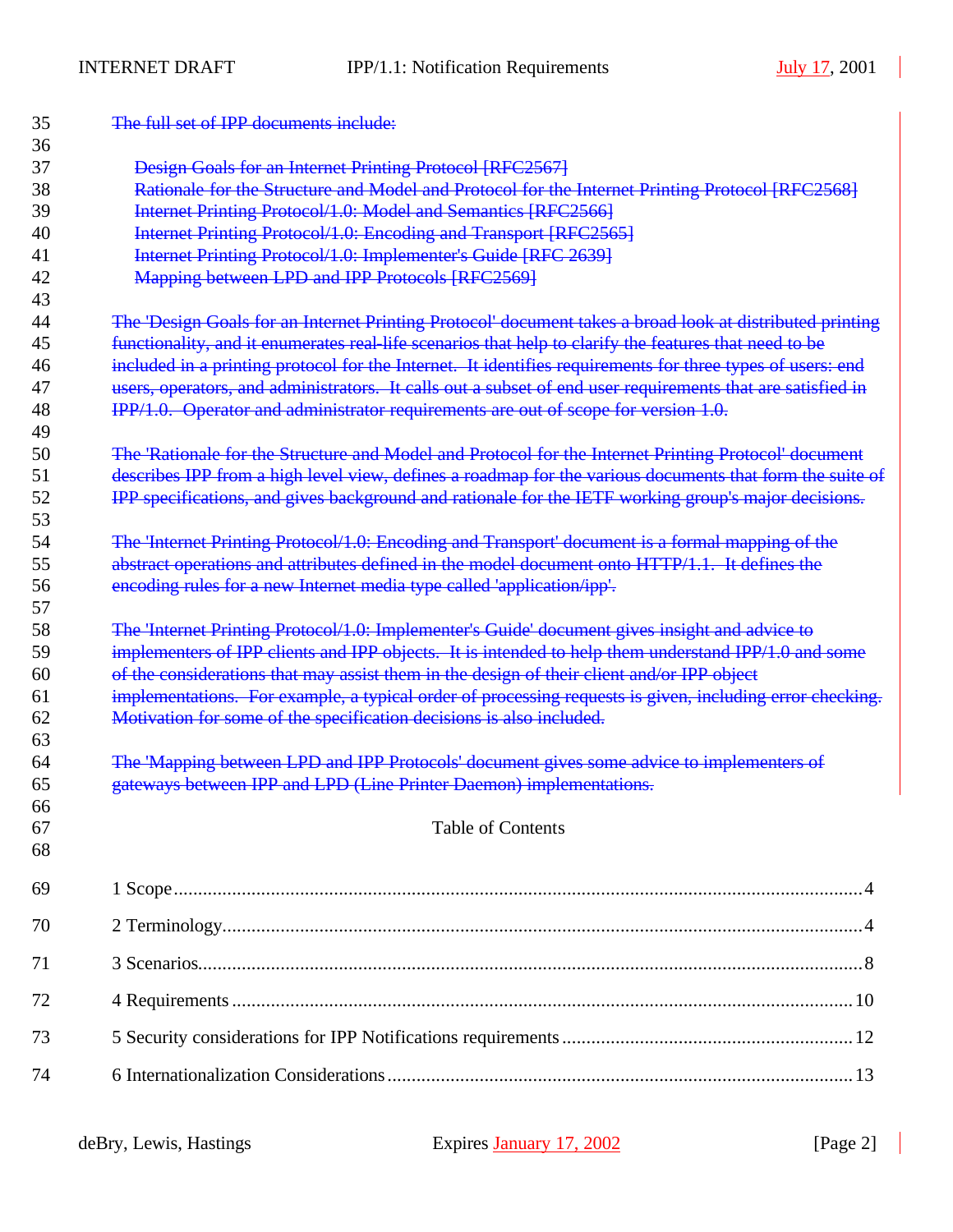| 35<br>36 | The full set of IPP documents include:                                                                     |
|----------|------------------------------------------------------------------------------------------------------------|
| 37       | <b>Design Goals for an Internet Printing Protocol [RFC2567]</b>                                            |
| 38       | Rationale for the Structure and Model and Protocol for the Internet Printing Protocol [RFC2568]            |
| 39       | Internet Printing Protocol/1.0: Model and Semantics [RFC2566]                                              |
| 40       | Internet Printing Protocol/1.0: Encoding and Transport [RFC2565]                                           |
| 41       | Internet Printing Protocol/1.0: Implementer's Guide [RFC 2639]                                             |
| 42       | <b>Mapping between LPD and IPP Protocols [RFC2569]</b>                                                     |
| 43       |                                                                                                            |
| 44       | The 'Design Goals for an Internet Printing Protocol' document takes a broad look at distributed printing   |
| 45       | functionality, and it enumerates real-life scenarios that help to clarify the features that need to be     |
| 46       | included in a printing protocol for the Internet. It identifies requirements for three types of users: end |
| 47       | users, operators, and administrators. It calls out a subset of end user requirements that are satisfied in |
| 48       | IPP/1.0. Operator and administrator requirements are out of scope for version 1.0.                         |
| 49       |                                                                                                            |
| 50       | The 'Rationale for the Structure and Model and Protocol for the Internet Printing Protocol' document       |
| 51       | describes IPP from a high level view, defines a roadmap for the various documents that form the suite of   |
| 52       | IPP specifications, and gives background and rationale for the IETF working group's major decisions.       |
| 53       |                                                                                                            |
| 54       | The 'Internet Printing Protocol/1.0: Encoding and Transport' document is a formal mapping of the           |
| 55       | abstract operations and attributes defined in the model document onto HTTP/1.1. It defines the             |
| 56       | encoding rules for a new Internet media type called 'application/ipp'.                                     |
| 57       |                                                                                                            |
| 58       | The 'Internet Printing Protocol/1.0: Implementer's Guide' document gives insight and advice to             |
| 59       | implementers of IPP clients and IPP objects. It is intended to help them understand IPP/1.0 and some       |
| 60       | of the considerations that may assist them in the design of their client and/or IPP object                 |
| 61       | implementations. For example, a typical order of processing requests is given, including error checking.   |
| 62       | Motivation for some of the specification decisions is also included.                                       |
| 63       |                                                                                                            |
| 64       | The 'Mapping between LPD and IPP Protocols' document gives some advice to implementers of                  |
| 65       | gateways between IPP and LPD (Line Printer Daemon) implementations.                                        |
| 66<br>67 | Table of Contents                                                                                          |
| 68       |                                                                                                            |
|          |                                                                                                            |
| 69       |                                                                                                            |
| 70       |                                                                                                            |
| 71       |                                                                                                            |
| 72       |                                                                                                            |
| 73       |                                                                                                            |
| 74       |                                                                                                            |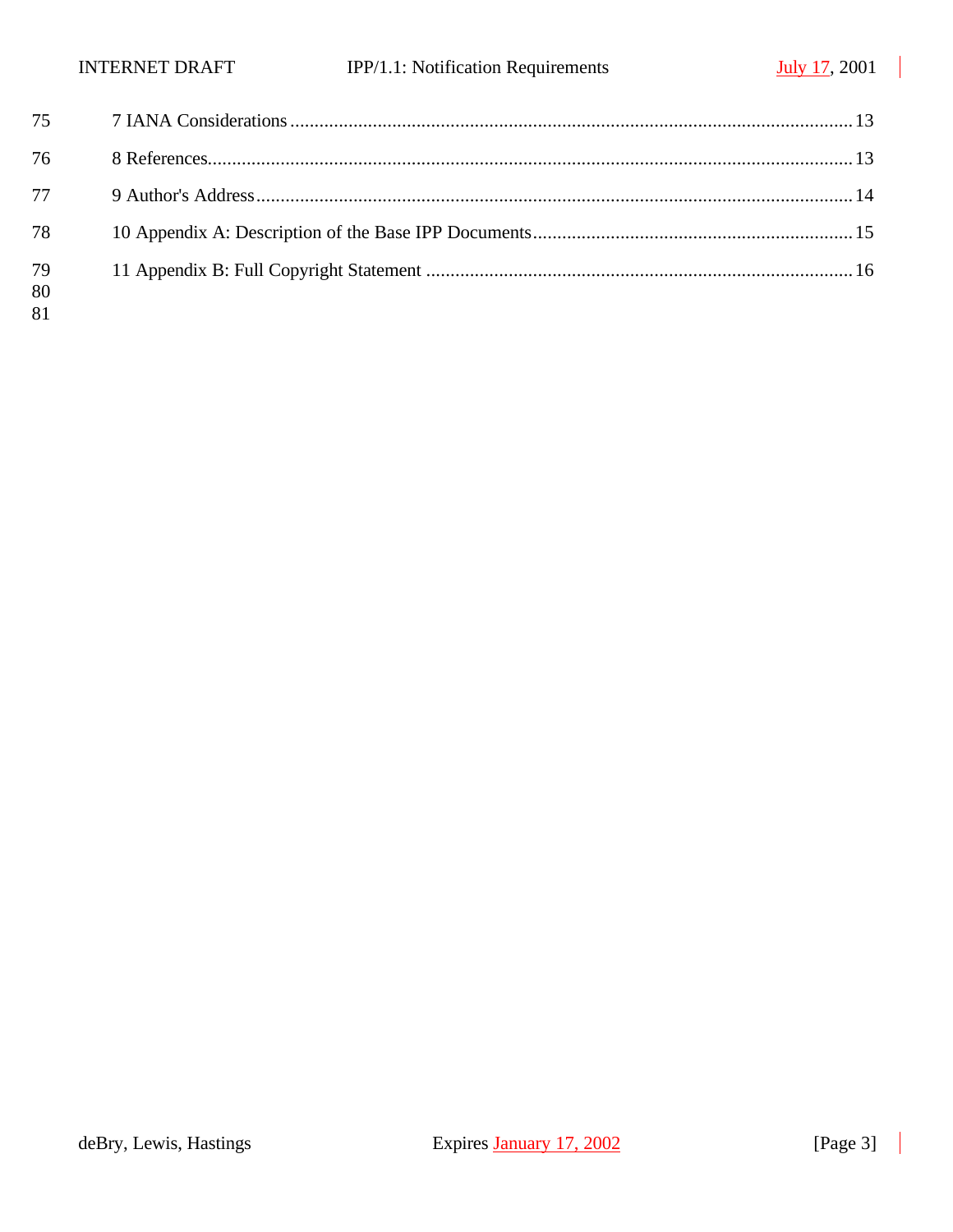$\overline{\phantom{a}}$ 

 $\overline{\phantom{a}}$ 

| 76       |  |
|----------|--|
| 77       |  |
| 78       |  |
| 79<br>80 |  |

deBry, Lewis, Hastings Expires January 17, 2002 [Page 3]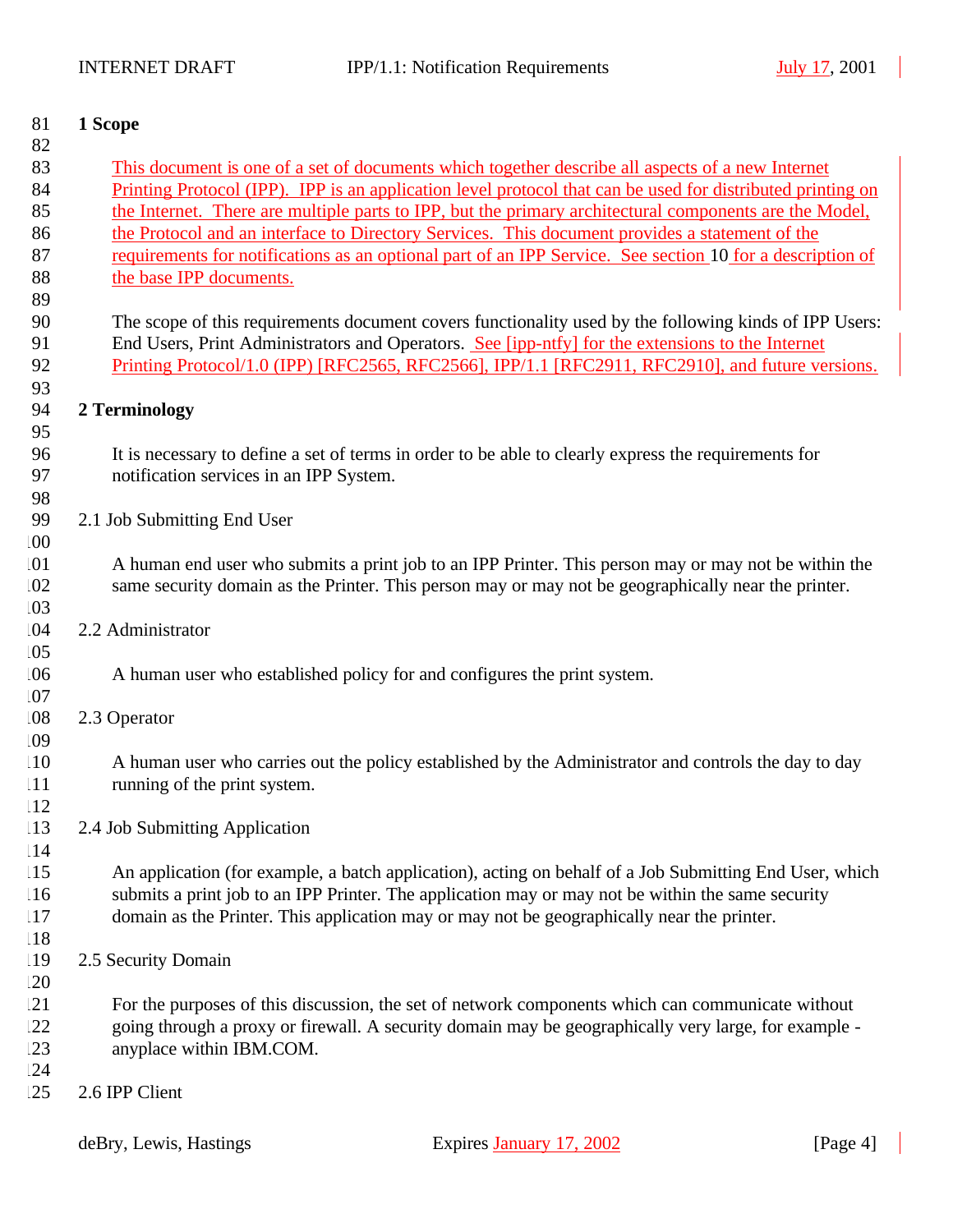| 81              | 1 Scope                                                                                                    |  |  |  |
|-----------------|------------------------------------------------------------------------------------------------------------|--|--|--|
| 82              |                                                                                                            |  |  |  |
| 83              | This document is one of a set of documents which together describe all aspects of a new Internet           |  |  |  |
| 84              | Printing Protocol (IPP). IPP is an application level protocol that can be used for distributed printing on |  |  |  |
| 85              | the Internet. There are multiple parts to IPP, but the primary architectural components are the Model,     |  |  |  |
| 86              | the Protocol and an interface to Directory Services. This document provides a statement of the             |  |  |  |
| 87              | requirements for notifications as an optional part of an IPP Service. See section 10 for a description of  |  |  |  |
| 88              | the base IPP documents.                                                                                    |  |  |  |
| 89              |                                                                                                            |  |  |  |
| 90              | The scope of this requirements document covers functionality used by the following kinds of IPP Users:     |  |  |  |
| 91              | End Users, Print Administrators and Operators. See [ipp-ntfy] for the extensions to the Internet           |  |  |  |
| 92              | Printing Protocol/1.0 (IPP) [RFC2565, RFC2566], IPP/1.1 [RFC2911, RFC2910], and future versions.           |  |  |  |
| 93<br>94        | 2 Terminology                                                                                              |  |  |  |
| 95              |                                                                                                            |  |  |  |
| 96              | It is necessary to define a set of terms in order to be able to clearly express the requirements for       |  |  |  |
| 97              | notification services in an IPP System.                                                                    |  |  |  |
| 98              |                                                                                                            |  |  |  |
| 99              | 2.1 Job Submitting End User                                                                                |  |  |  |
| .00             |                                                                                                            |  |  |  |
| .01             | A human end user who submits a print job to an IPP Printer. This person may or may not be within the       |  |  |  |
| 02              | same security domain as the Printer. This person may or may not be geographically near the printer.        |  |  |  |
| .03             |                                                                                                            |  |  |  |
| .04             | 2.2 Administrator                                                                                          |  |  |  |
| .05             |                                                                                                            |  |  |  |
| .06             | A human user who established policy for and configures the print system.                                   |  |  |  |
| .07             |                                                                                                            |  |  |  |
| .08             | 2.3 Operator                                                                                               |  |  |  |
| .09             |                                                                                                            |  |  |  |
| 10              | A human user who carries out the policy established by the Administrator and controls the day to day       |  |  |  |
| 111             | running of the print system.                                                                               |  |  |  |
| 12              |                                                                                                            |  |  |  |
| $\overline{13}$ | 2.4 Job Submitting Application                                                                             |  |  |  |
| 14              |                                                                                                            |  |  |  |
| 15              | An application (for example, a batch application), acting on behalf of a Job Submitting End User, which    |  |  |  |
| 16              | submits a print job to an IPP Printer. The application may or may not be within the same security          |  |  |  |
| 17              | domain as the Printer. This application may or may not be geographically near the printer.                 |  |  |  |
| 18              |                                                                                                            |  |  |  |
| 19              | 2.5 Security Domain                                                                                        |  |  |  |
| .20             |                                                                                                            |  |  |  |
| 21              | For the purposes of this discussion, the set of network components which can communicate without           |  |  |  |
| 22              | going through a proxy or firewall. A security domain may be geographically very large, for example -       |  |  |  |
| .23             | anyplace within IBM.COM.                                                                                   |  |  |  |
| 24              |                                                                                                            |  |  |  |
| .25             | 2.6 IPP Client                                                                                             |  |  |  |
|                 |                                                                                                            |  |  |  |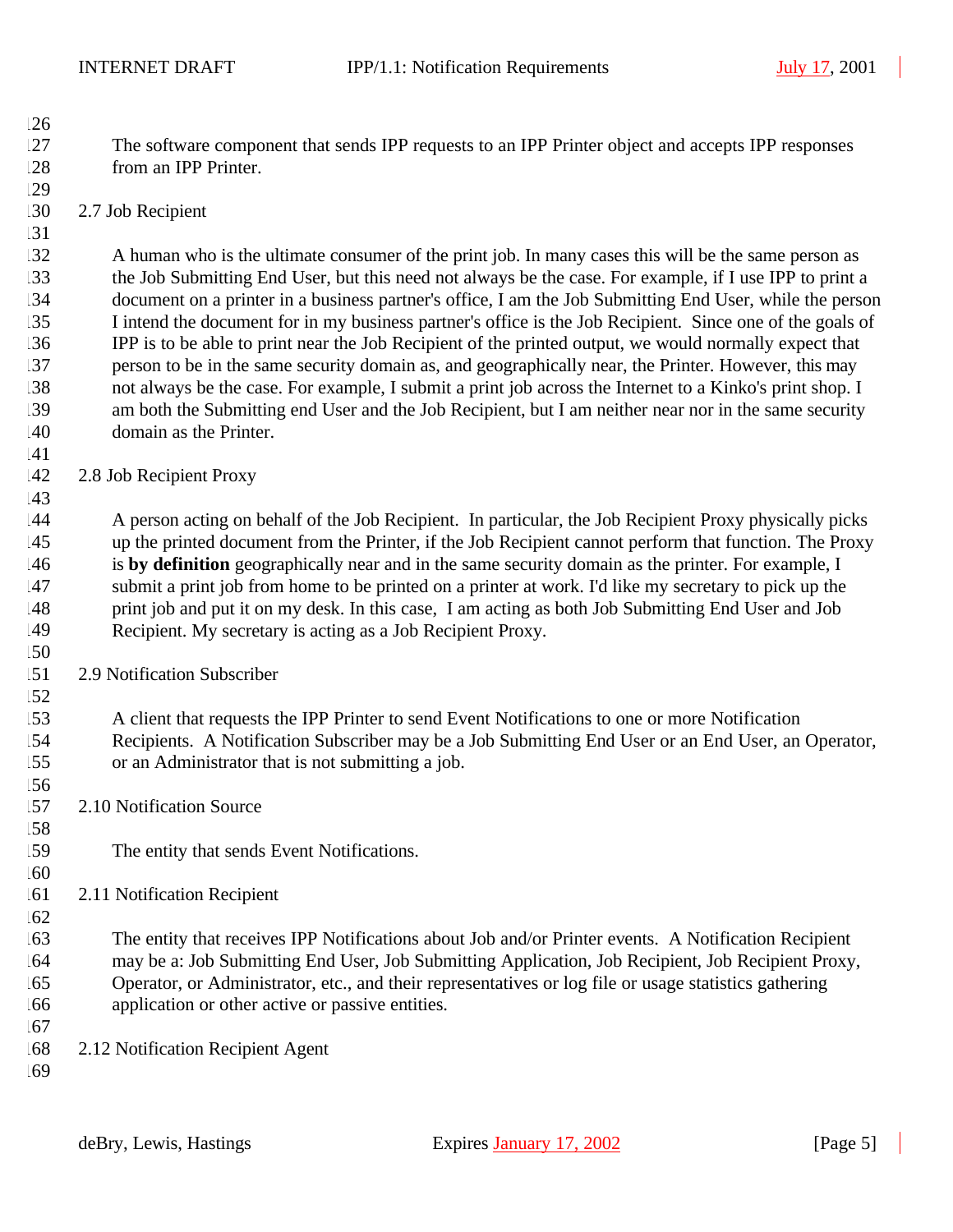- The software component that sends IPP requests to an IPP Printer object and accepts IPP responses from an IPP Printer.
- 2.7 Job Recipient

 A human who is the ultimate consumer of the print job. In many cases this will be the same person as the Job Submitting End User, but this need not always be the case. For example, if I use IPP to print a document on a printer in a business partner's office, I am the Job Submitting End User, while the person I intend the document for in my business partner's office is the Job Recipient. Since one of the goals of IPP is to be able to print near the Job Recipient of the printed output, we would normally expect that person to be in the same security domain as, and geographically near, the Printer. However, this may not always be the case. For example, I submit a print job across the Internet to a Kinko's print shop. I am both the Submitting end User and the Job Recipient, but I am neither near nor in the same security domain as the Printer.

 142 2.8 Job Recipient Proxy

 A person acting on behalf of the Job Recipient. In particular, the Job Recipient Proxy physically picks up the printed document from the Printer, if the Job Recipient cannot perform that function. The Proxy is **by definition** geographically near and in the same security domain as the printer. For example, I submit a print job from home to be printed on a printer at work. I'd like my secretary to pick up the print job and put it on my desk. In this case, I am acting as both Job Submitting End User and Job Recipient. My secretary is acting as a Job Recipient Proxy.

2.9 Notification Subscriber

 A client that requests the IPP Printer to send Event Notifications to one or more Notification Recipients. A Notification Subscriber may be a Job Submitting End User or an End User, an Operator, or an Administrator that is not submitting a job.

- 2.10 Notification Source
- The entity that sends Event Notifications.
- 2.11 Notification Recipient

 The entity that receives IPP Notifications about Job and/or Printer events. A Notification Recipient may be a: Job Submitting End User, Job Submitting Application, Job Recipient, Job Recipient Proxy, Operator, or Administrator, etc., and their representatives or log file or usage statistics gathering application or other active or passive entities.

- 2.12 Notification Recipient Agent
-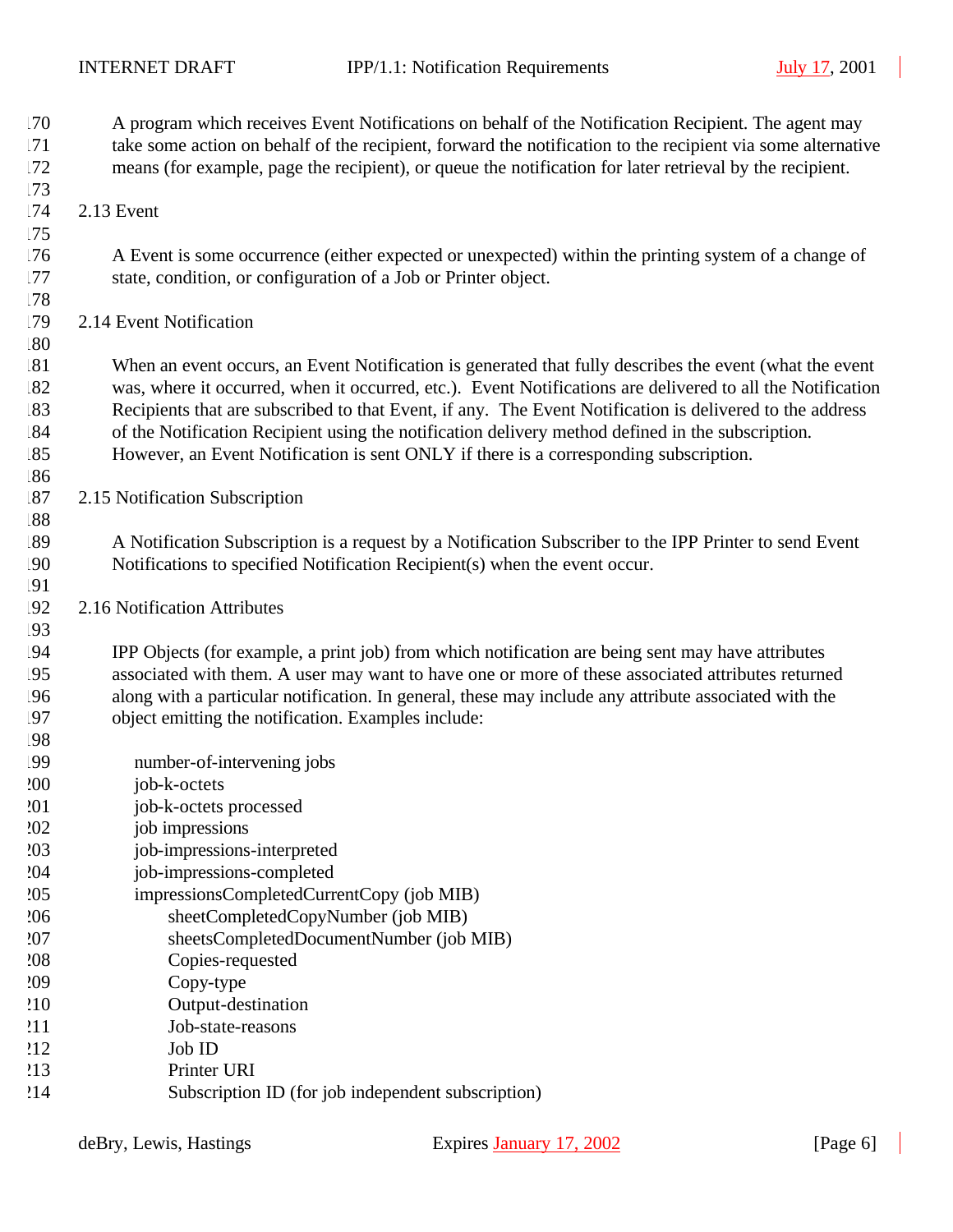| .70<br>.71<br>.72<br>.73 | A program which receives Event Notifications on behalf of the Notification Recipient. The agent may<br>take some action on behalf of the recipient, forward the notification to the recipient via some alternative<br>means (for example, page the recipient), or queue the notification for later retrieval by the recipient. |
|--------------------------|--------------------------------------------------------------------------------------------------------------------------------------------------------------------------------------------------------------------------------------------------------------------------------------------------------------------------------|
| .74                      | 2.13 Event                                                                                                                                                                                                                                                                                                                     |
| .75                      |                                                                                                                                                                                                                                                                                                                                |
| .76<br>.77               | A Event is some occurrence (either expected or unexpected) within the printing system of a change of<br>state, condition, or configuration of a Job or Printer object.                                                                                                                                                         |
| .78                      |                                                                                                                                                                                                                                                                                                                                |
| .79                      | 2.14 Event Notification                                                                                                                                                                                                                                                                                                        |
| .80                      |                                                                                                                                                                                                                                                                                                                                |
| .81                      | When an event occurs, an Event Notification is generated that fully describes the event (what the event                                                                                                                                                                                                                        |
| .82                      | was, where it occurred, when it occurred, etc.). Event Notifications are delivered to all the Notification                                                                                                                                                                                                                     |
| .83                      | Recipients that are subscribed to that Event, if any. The Event Notification is delivered to the address                                                                                                                                                                                                                       |
| .84                      | of the Notification Recipient using the notification delivery method defined in the subscription.                                                                                                                                                                                                                              |
| 85                       | However, an Event Notification is sent ONLY if there is a corresponding subscription.                                                                                                                                                                                                                                          |
| .86<br>.87               | 2.15 Notification Subscription                                                                                                                                                                                                                                                                                                 |
| .88                      |                                                                                                                                                                                                                                                                                                                                |
| .89                      | A Notification Subscription is a request by a Notification Subscriber to the IPP Printer to send Event                                                                                                                                                                                                                         |
| .90                      | Notifications to specified Notification Recipient(s) when the event occur.                                                                                                                                                                                                                                                     |
| !91                      |                                                                                                                                                                                                                                                                                                                                |
| !92                      | 2.16 Notification Attributes                                                                                                                                                                                                                                                                                                   |
| .93                      |                                                                                                                                                                                                                                                                                                                                |
| .94                      | IPP Objects (for example, a print job) from which notification are being sent may have attributes                                                                                                                                                                                                                              |
| !95                      | associated with them. A user may want to have one or more of these associated attributes returned                                                                                                                                                                                                                              |
| .96                      | along with a particular notification. In general, these may include any attribute associated with the                                                                                                                                                                                                                          |
| 197<br>!98               | object emitting the notification. Examples include:                                                                                                                                                                                                                                                                            |
| .99                      | number-of-intervening jobs                                                                                                                                                                                                                                                                                                     |
| 200                      | job-k-octets                                                                                                                                                                                                                                                                                                                   |
| 201                      | job-k-octets processed                                                                                                                                                                                                                                                                                                         |
| 202                      | job impressions                                                                                                                                                                                                                                                                                                                |
| 203                      | job-impressions-interpreted                                                                                                                                                                                                                                                                                                    |
| 204                      | job-impressions-completed                                                                                                                                                                                                                                                                                                      |
| 205                      | impressionsCompletedCurrentCopy (job MIB)                                                                                                                                                                                                                                                                                      |
| 206                      | sheetCompletedCopyNumber (job MIB)                                                                                                                                                                                                                                                                                             |
| 207                      | sheetsCompletedDocumentNumber (job MIB)                                                                                                                                                                                                                                                                                        |
| 208                      | Copies-requested                                                                                                                                                                                                                                                                                                               |
| 209                      | Copy-type                                                                                                                                                                                                                                                                                                                      |
| 210<br>211               | Output-destination<br>Job-state-reasons                                                                                                                                                                                                                                                                                        |
| 212                      | Job ID                                                                                                                                                                                                                                                                                                                         |
| 213                      | Printer URI                                                                                                                                                                                                                                                                                                                    |
| 214                      | Subscription ID (for job independent subscription)                                                                                                                                                                                                                                                                             |
|                          |                                                                                                                                                                                                                                                                                                                                |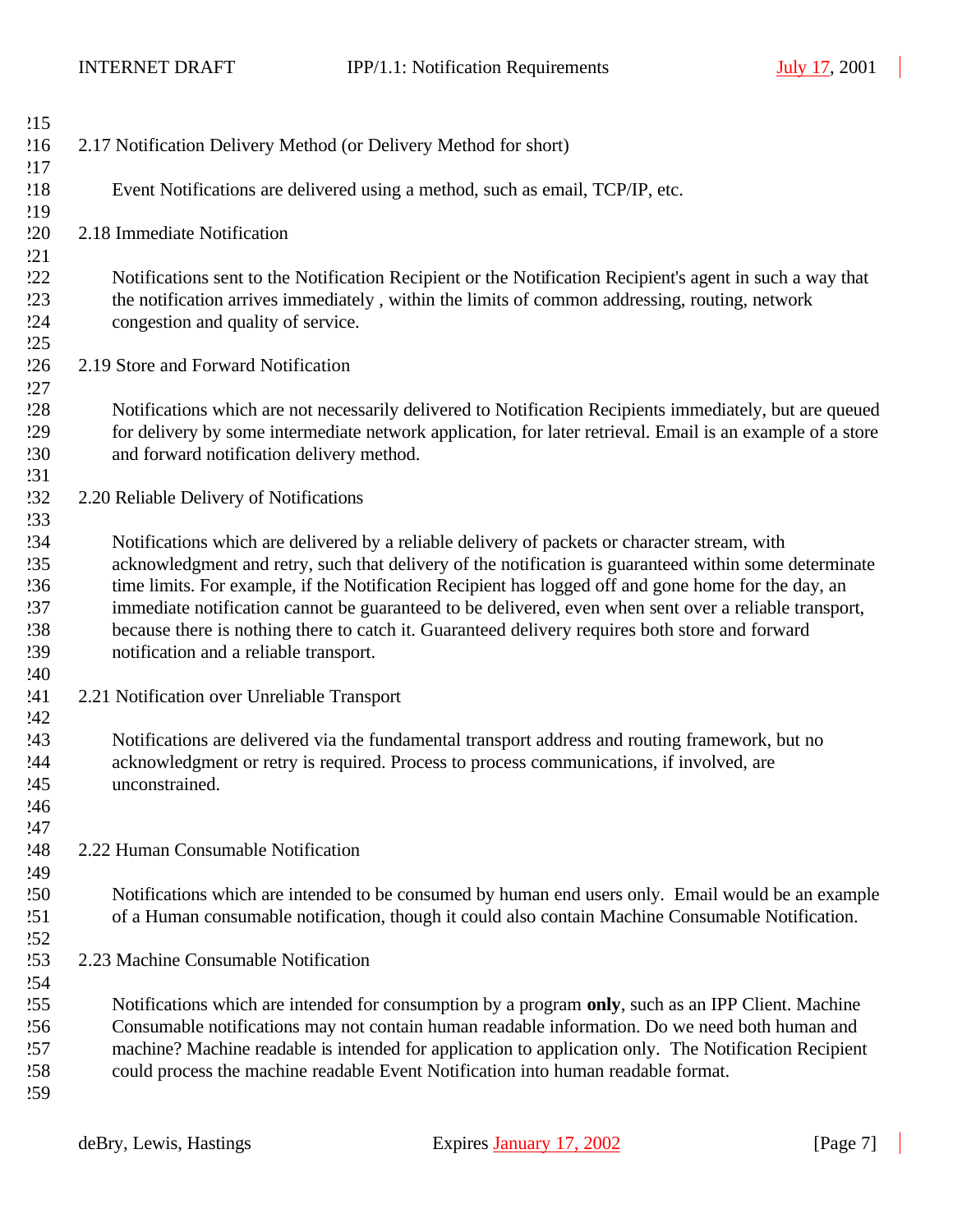| 215        |                                                                                                            |
|------------|------------------------------------------------------------------------------------------------------------|
| 216        | 2.17 Notification Delivery Method (or Delivery Method for short)                                           |
| 217        |                                                                                                            |
| 218        | Event Notifications are delivered using a method, such as email, TCP/IP, etc.                              |
| 219        |                                                                                                            |
| 220        | 2.18 Immediate Notification                                                                                |
| 221        |                                                                                                            |
| 222        | Notifications sent to the Notification Recipient or the Notification Recipient's agent in such a way that  |
| 223        | the notification arrives immediately, within the limits of common addressing, routing, network             |
| 224        | congestion and quality of service.                                                                         |
| 225        |                                                                                                            |
| 226        | 2.19 Store and Forward Notification                                                                        |
| 27         |                                                                                                            |
| 228        | Notifications which are not necessarily delivered to Notification Recipients immediately, but are queued   |
| 229        | for delivery by some intermediate network application, for later retrieval. Email is an example of a store |
| 230        | and forward notification delivery method.                                                                  |
| 231        |                                                                                                            |
| !32        | 2.20 Reliable Delivery of Notifications                                                                    |
| 233        |                                                                                                            |
| !34        | Notifications which are delivered by a reliable delivery of packets or character stream, with              |
| 235        | acknowledgment and retry, such that delivery of the notification is guaranteed within some determinate     |
| 236        | time limits. For example, if the Notification Recipient has logged off and gone home for the day, an       |
| 237        | immediate notification cannot be guaranteed to be delivered, even when sent over a reliable transport,     |
| !38        | because there is nothing there to catch it. Guaranteed delivery requires both store and forward            |
| 239        | notification and a reliable transport.                                                                     |
| 240        |                                                                                                            |
| 241        | 2.21 Notification over Unreliable Transport                                                                |
| 242        |                                                                                                            |
| 243        | Notifications are delivered via the fundamental transport address and routing framework, but no            |
| 244        | acknowledgment or retry is required. Process to process communications, if involved, are                   |
| 245        | unconstrained.                                                                                             |
| 246        |                                                                                                            |
| 247        |                                                                                                            |
| '48        | 2.22 Human Consumable Notification                                                                         |
| 249        |                                                                                                            |
| 250        | Notifications which are intended to be consumed by human end users only. Email would be an example         |
| 251        | of a Human consumable notification, though it could also contain Machine Consumable Notification.          |
| 252        |                                                                                                            |
| .53        | 2.23 Machine Consumable Notification                                                                       |
| .54        |                                                                                                            |
| 255        | Notifications which are intended for consumption by a program only, such as an IPP Client. Machine         |
| 256        | Consumable notifications may not contain human readable information. Do we need both human and             |
| 257<br>258 | machine? Machine readable is intended for application to application only. The Notification Recipient      |
| 259        | could process the machine readable Event Notification into human readable format.                          |
|            |                                                                                                            |

 $\blacksquare$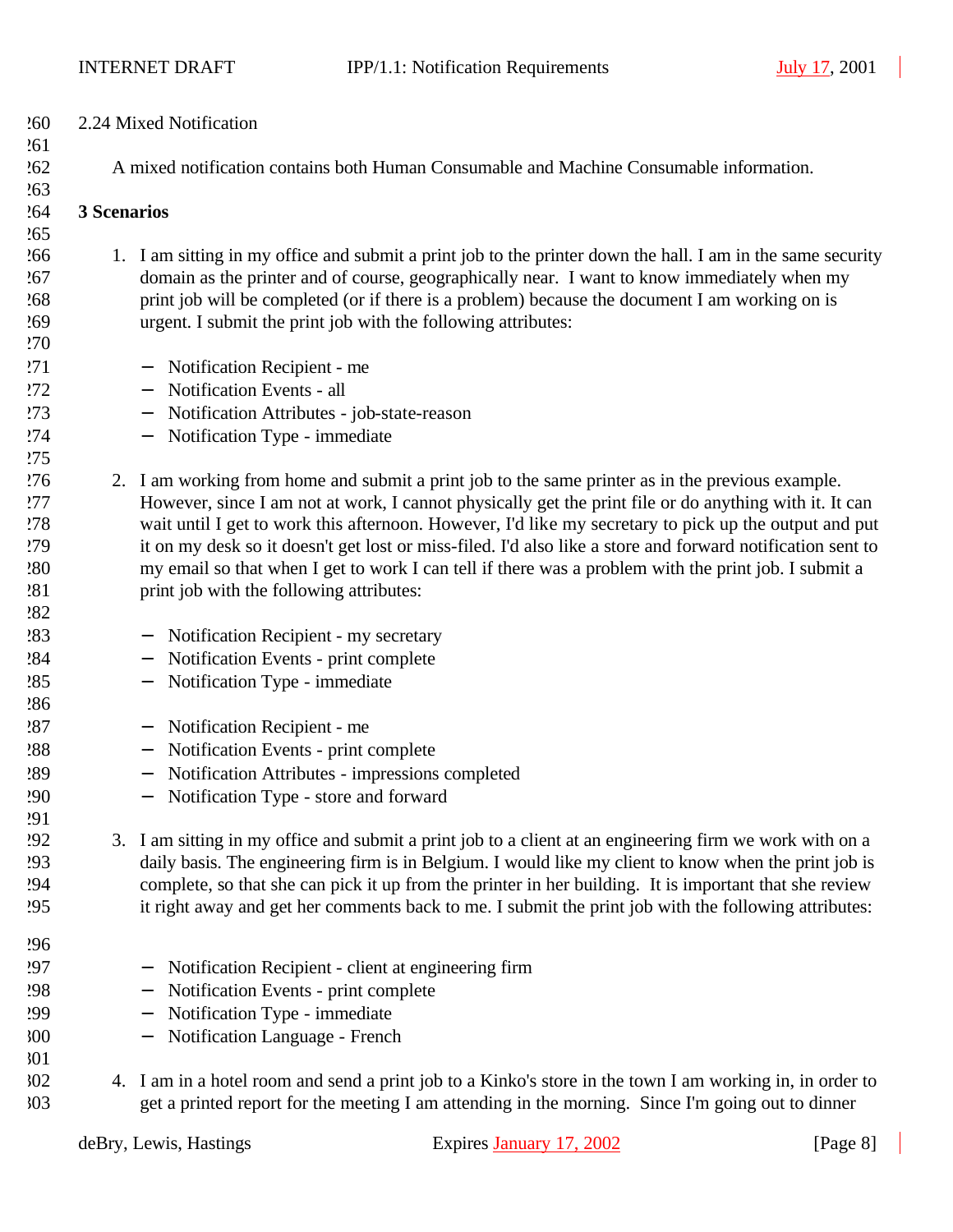| 260        | 2.24 Mixed Notification                                                                 |                                                                                                             |  |
|------------|-----------------------------------------------------------------------------------------|-------------------------------------------------------------------------------------------------------------|--|
| .61        |                                                                                         |                                                                                                             |  |
| 262        | A mixed notification contains both Human Consumable and Machine Consumable information. |                                                                                                             |  |
| .63        |                                                                                         |                                                                                                             |  |
| .64        | 3 Scenarios                                                                             |                                                                                                             |  |
| 265        |                                                                                         |                                                                                                             |  |
| .66        |                                                                                         | 1. I am sitting in my office and submit a print job to the printer down the hall. I am in the same security |  |
| 267        |                                                                                         | domain as the printer and of course, geographically near. I want to know immediately when my                |  |
| .68        |                                                                                         | print job will be completed (or if there is a problem) because the document I am working on is              |  |
| .69        |                                                                                         | urgent. I submit the print job with the following attributes:                                               |  |
| 270        |                                                                                         |                                                                                                             |  |
| 271        |                                                                                         | Notification Recipient - me<br>$\overline{\phantom{m}}$                                                     |  |
| 272        |                                                                                         | Notification Events - all                                                                                   |  |
| 273        |                                                                                         | Notification Attributes - job-state-reason<br>$\qquad \qquad -$                                             |  |
| 274        |                                                                                         | Notification Type - immediate<br>$\overline{\phantom{m}}$                                                   |  |
| 275        |                                                                                         |                                                                                                             |  |
| 276        |                                                                                         | 2. I am working from home and submit a print job to the same printer as in the previous example.            |  |
| 277        |                                                                                         | However, since I am not at work, I cannot physically get the print file or do anything with it. It can      |  |
| 278        |                                                                                         | wait until I get to work this afternoon. However, I'd like my secretary to pick up the output and put       |  |
| 279        |                                                                                         | it on my desk so it doesn't get lost or miss-filed. I'd also like a store and forward notification sent to  |  |
| 280        |                                                                                         | my email so that when I get to work I can tell if there was a problem with the print job. I submit a        |  |
| 281        |                                                                                         | print job with the following attributes:                                                                    |  |
| 282        |                                                                                         |                                                                                                             |  |
| 283        |                                                                                         | Notification Recipient - my secretary                                                                       |  |
| 284        |                                                                                         | Notification Events - print complete<br>$\qquad \qquad -$                                                   |  |
| 285        |                                                                                         | Notification Type - immediate                                                                               |  |
| 286        |                                                                                         |                                                                                                             |  |
| 287        |                                                                                         | Notification Recipient - me                                                                                 |  |
| 288        |                                                                                         | Notification Events - print complete<br>$\qquad \qquad -$                                                   |  |
| 289        |                                                                                         | Notification Attributes - impressions completed<br>$\overline{\phantom{m}}$                                 |  |
| 290        |                                                                                         | Notification Type - store and forward                                                                       |  |
| 291        |                                                                                         |                                                                                                             |  |
| !92        |                                                                                         | 3. I am sitting in my office and submit a print job to a client at an engineering firm we work with on a    |  |
| .93        |                                                                                         | daily basis. The engineering firm is in Belgium. I would like my client to know when the print job is       |  |
| !94        |                                                                                         | complete, so that she can pick it up from the printer in her building. It is important that she review      |  |
| !95        |                                                                                         | it right away and get her comments back to me. I submit the print job with the following attributes:        |  |
|            |                                                                                         |                                                                                                             |  |
| <b>296</b> |                                                                                         |                                                                                                             |  |
| 297        |                                                                                         | Notification Recipient - client at engineering firm                                                         |  |
| !98        |                                                                                         | Notification Events - print complete                                                                        |  |
| '99        |                                                                                         | Notification Type - immediate                                                                               |  |
| 300        |                                                                                         | Notification Language - French                                                                              |  |
| 301        |                                                                                         |                                                                                                             |  |
| 302        |                                                                                         | 4. I am in a hotel room and send a print job to a Kinko's store in the town I am working in, in order to    |  |
| 303        |                                                                                         | get a printed report for the meeting I am attending in the morning. Since I'm going out to dinner           |  |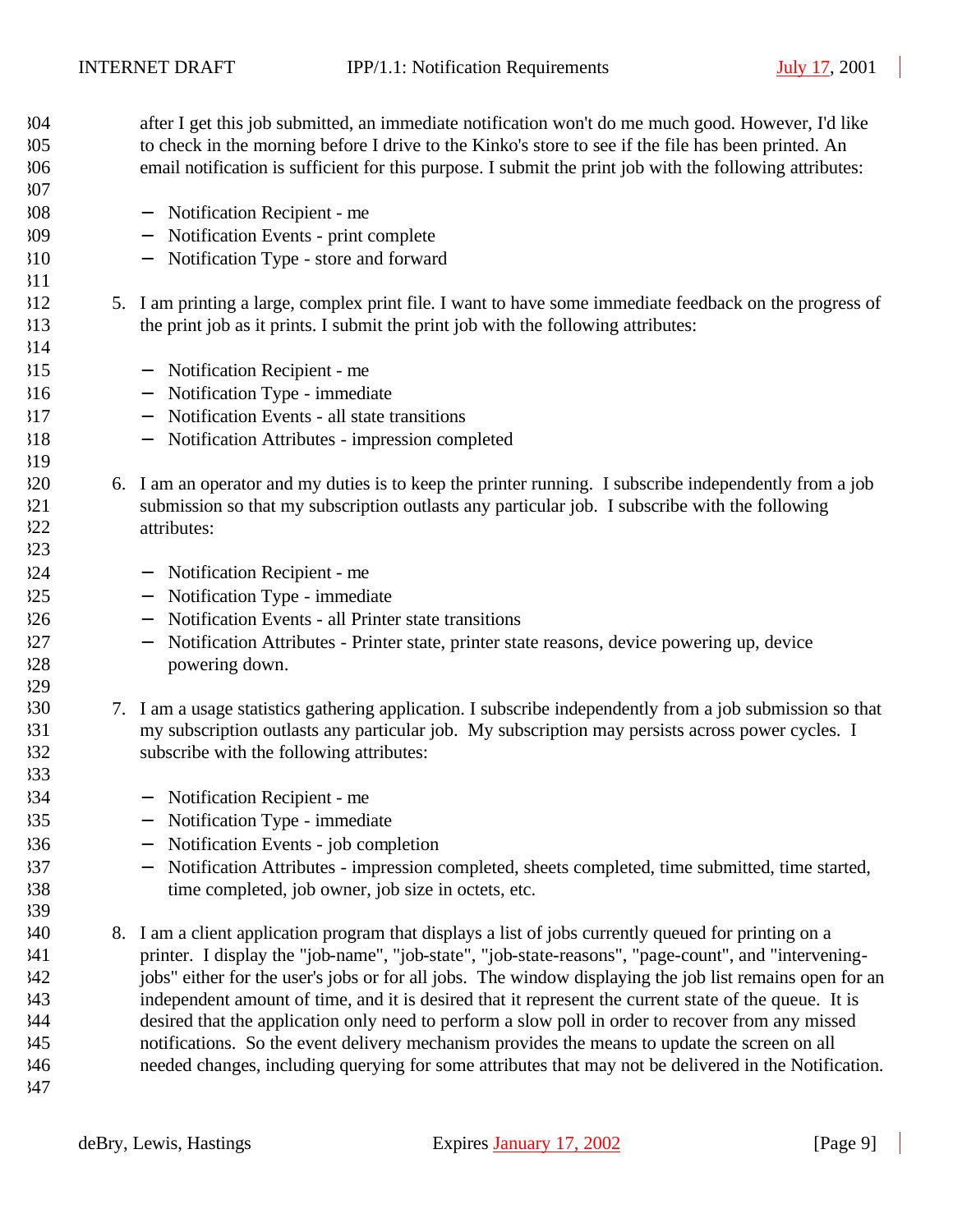| 304 | after I get this job submitted, an immediate notification won't do me much good. However, I'd like                     |
|-----|------------------------------------------------------------------------------------------------------------------------|
| 305 | to check in the morning before I drive to the Kinko's store to see if the file has been printed. An                    |
| 306 | email notification is sufficient for this purpose. I submit the print job with the following attributes:               |
| 307 |                                                                                                                        |
| 308 | Notification Recipient - me                                                                                            |
| 309 | Notification Events - print complete                                                                                   |
| 310 | Notification Type - store and forward                                                                                  |
| 311 |                                                                                                                        |
| 312 | 5. I am printing a large, complex print file. I want to have some immediate feedback on the progress of                |
| 313 | the print job as it prints. I submit the print job with the following attributes:                                      |
| 314 |                                                                                                                        |
| 315 | Notification Recipient - me<br>$\overline{\phantom{m}}$                                                                |
| 316 | Notification Type - immediate                                                                                          |
| 317 | Notification Events - all state transitions<br>$\overline{\phantom{m}}$                                                |
| 318 | Notification Attributes - impression completed                                                                         |
| 319 |                                                                                                                        |
| 320 | 6. I am an operator and my duties is to keep the printer running. I subscribe independently from a job                 |
| 321 | submission so that my subscription outlasts any particular job. I subscribe with the following                         |
| 322 | attributes:                                                                                                            |
| 323 |                                                                                                                        |
| 324 | Notification Recipient - me<br>$\qquad \qquad -$                                                                       |
| 325 | Notification Type - immediate                                                                                          |
| 326 | Notification Events - all Printer state transitions                                                                    |
| 327 | Notification Attributes - Printer state, printer state reasons, device powering up, device<br>$\overline{\phantom{m}}$ |
| 328 | powering down.                                                                                                         |
| 329 |                                                                                                                        |
| 330 | 7. I am a usage statistics gathering application. I subscribe independently from a job submission so that              |
| 331 | my subscription outlasts any particular job. My subscription may persists across power cycles. I                       |
| 332 | subscribe with the following attributes:                                                                               |
| 333 |                                                                                                                        |
| 334 | - Notification Recipient - me                                                                                          |
| 335 | Notification Type - immediate                                                                                          |
| 336 | Notification Events - job completion                                                                                   |
| 37  | Notification Attributes - impression completed, sheets completed, time submitted, time started,                        |
| 338 | time completed, job owner, job size in octets, etc.                                                                    |
| 39  |                                                                                                                        |
| 340 | 8. I am a client application program that displays a list of jobs currently queued for printing on a                   |
| 341 | printer. I display the "job-name", "job-state", "job-state-reasons", "page-count", and "intervening-                   |
| 342 | jobs" either for the user's jobs or for all jobs. The window displaying the job list remains open for an               |
| 343 | independent amount of time, and it is desired that it represent the current state of the queue. It is                  |
| 344 | desired that the application only need to perform a slow poll in order to recover from any missed                      |
| 345 | notifications. So the event delivery mechanism provides the means to update the screen on all                          |
| 346 | needed changes, including querying for some attributes that may not be delivered in the Notification.                  |
| 347 |                                                                                                                        |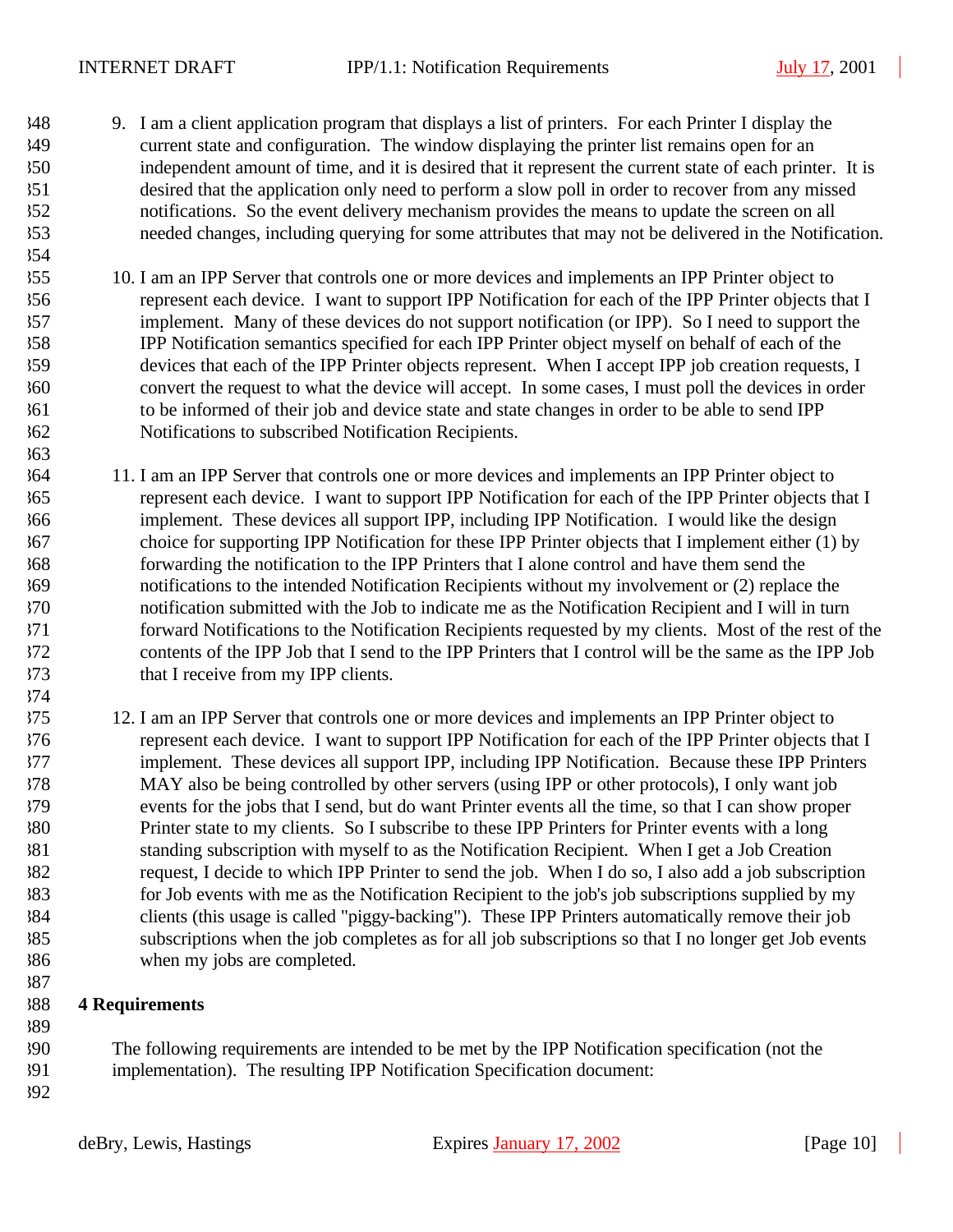- 9. I am a client application program that displays a list of printers. For each Printer I display the current state and configuration. The window displaying the printer list remains open for an independent amount of time, and it is desired that it represent the current state of each printer. It is desired that the application only need to perform a slow poll in order to recover from any missed notifications. So the event delivery mechanism provides the means to update the screen on all needed changes, including querying for some attributes that may not be delivered in the Notification.
- 10. I am an IPP Server that controls one or more devices and implements an IPP Printer object to represent each device. I want to support IPP Notification for each of the IPP Printer objects that I implement. Many of these devices do not support notification (or IPP). So I need to support the IPP Notification semantics specified for each IPP Printer object myself on behalf of each of the devices that each of the IPP Printer objects represent. When I accept IPP job creation requests, I convert the request to what the device will accept. In some cases, I must poll the devices in order to be informed of their job and device state and state changes in order to be able to send IPP Notifications to subscribed Notification Recipients.
- 11. I am an IPP Server that controls one or more devices and implements an IPP Printer object to represent each device. I want to support IPP Notification for each of the IPP Printer objects that I implement. These devices all support IPP, including IPP Notification. I would like the design choice for supporting IPP Notification for these IPP Printer objects that I implement either (1) by forwarding the notification to the IPP Printers that I alone control and have them send the notifications to the intended Notification Recipients without my involvement or (2) replace the notification submitted with the Job to indicate me as the Notification Recipient and I will in turn forward Notifications to the Notification Recipients requested by my clients. Most of the rest of the contents of the IPP Job that I send to the IPP Printers that I control will be the same as the IPP Job that I receive from my IPP clients.
- 12. I am an IPP Server that controls one or more devices and implements an IPP Printer object to represent each device. I want to support IPP Notification for each of the IPP Printer objects that I implement. These devices all support IPP, including IPP Notification. Because these IPP Printers MAY also be being controlled by other servers (using IPP or other protocols), I only want job events for the jobs that I send, but do want Printer events all the time, so that I can show proper Printer state to my clients. So I subscribe to these IPP Printers for Printer events with a long standing subscription with myself to as the Notification Recipient. When I get a Job Creation request, I decide to which IPP Printer to send the job. When I do so, I also add a job subscription for Job events with me as the Notification Recipient to the job's job subscriptions supplied by my clients (this usage is called "piggy-backing"). These IPP Printers automatically remove their job subscriptions when the job completes as for all job subscriptions so that I no longer get Job events when my jobs are completed.

## **4 Requirements**

- The following requirements are intended to be met by the IPP Notification specification (not the
- implementation). The resulting IPP Notification Specification document:
-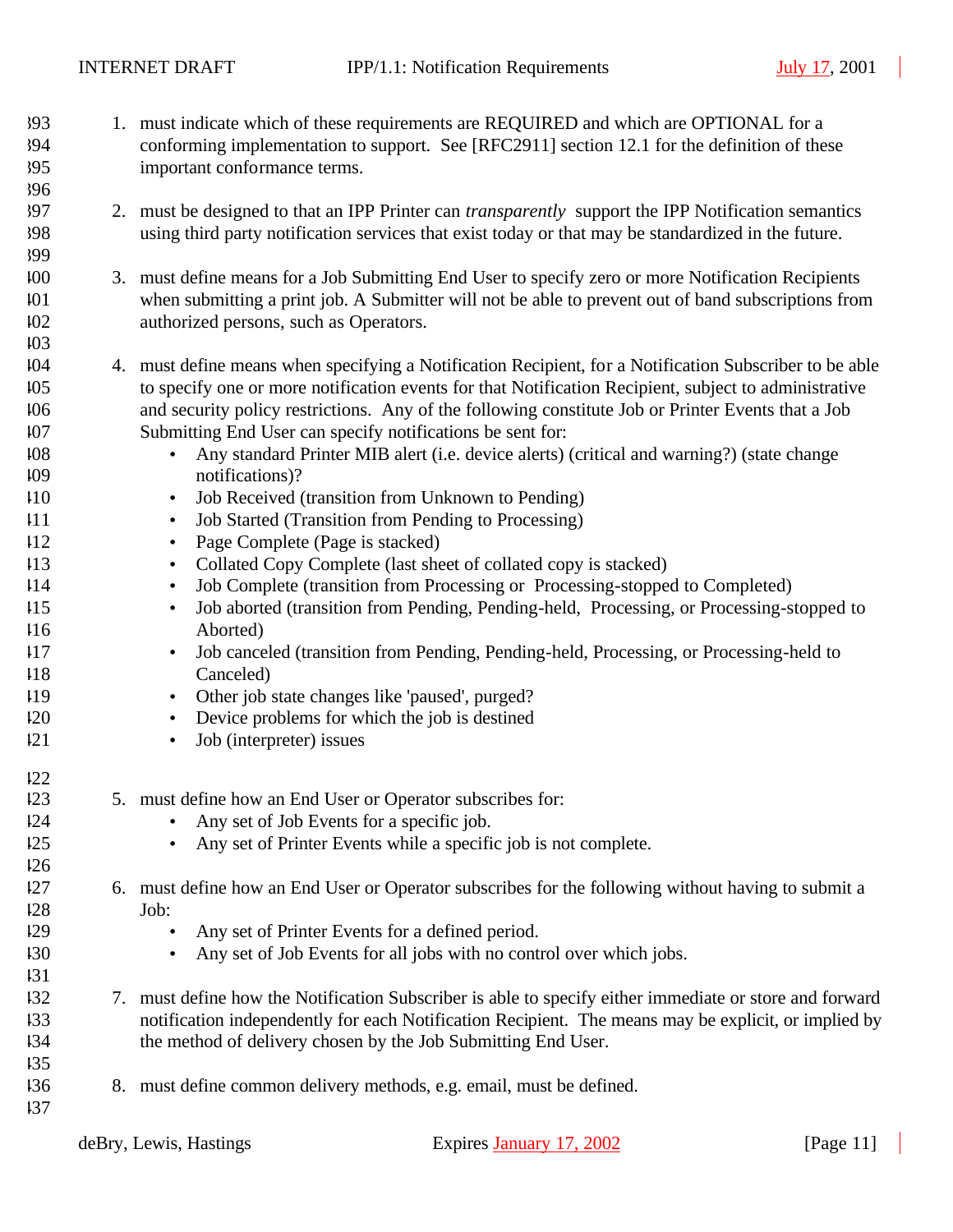- 1. must indicate which of these requirements are REQUIRED and which are OPTIONAL for a conforming implementation to support. See [RFC2911] section 12.1 for the definition of these important conformance terms. 2. must be designed to that an IPP Printer can *transparently* support the IPP Notification semantics using third party notification services that exist today or that may be standardized in the future. 3. must define means for a Job Submitting End User to specify zero or more Notification Recipients when submitting a print job. A Submitter will not be able to prevent out of band subscriptions from authorized persons, such as Operators. 4. must define means when specifying a Notification Recipient, for a Notification Subscriber to be able to specify one or more notification events for that Notification Recipient, subject to administrative and security policy restrictions. Any of the following constitute Job or Printer Events that a Job Submitting End User can specify notifications be sent for: • Any standard Printer MIB alert (i.e. device alerts) (critical and warning?) (state change notifications)? • Job Received (transition from Unknown to Pending) • Job Started (Transition from Pending to Processing) • Page Complete (Page is stacked) • Collated Copy Complete (last sheet of collated copy is stacked) • Job Complete (transition from Processing or Processing-stopped to Completed) • Job aborted (transition from Pending, Pending-held, Processing, or Processing-stopped to
- Aborted)
- Job canceled (transition from Pending, Pending-held, Processing, or Processing-held to Canceled)
- Other job state changes like 'paused', purged?
- Device problems for which the job is destined
- Job (interpreter) issues
- 5. must define how an End User or Operator subscribes for:
- Any set of Job Events for a specific job.
- Any set of Printer Events while a specific job is not complete.
- 6. must define how an End User or Operator subscribes for the following without having to submit a Job:
- Any set of Printer Events for a defined period.
- Any set of Job Events for all jobs with no control over which jobs.
- 7. must define how the Notification Subscriber is able to specify either immediate or store and forward notification independently for each Notification Recipient. The means may be explicit, or implied by the method of delivery chosen by the Job Submitting End User.
- 8. must define common delivery methods, e.g. email, must be defined.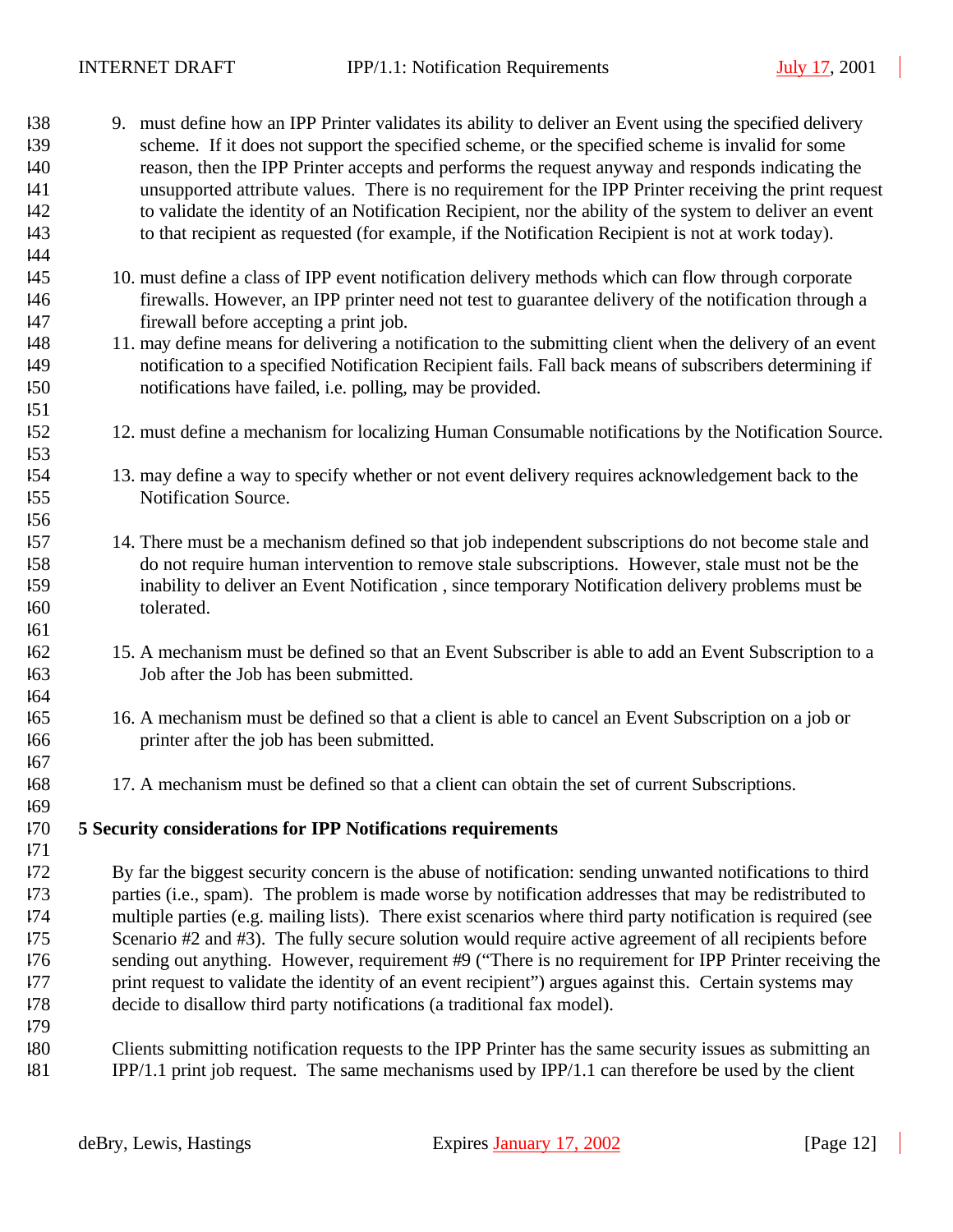| 138        | 9. must define how an IPP Printer validates its ability to deliver an Event using the specified delivery                                       |
|------------|------------------------------------------------------------------------------------------------------------------------------------------------|
| 139        | scheme. If it does not support the specified scheme, or the specified scheme is invalid for some                                               |
| 140        | reason, then the IPP Printer accepts and performs the request anyway and responds indicating the                                               |
| 41         | unsupported attribute values. There is no requirement for the IPP Printer receiving the print request                                          |
| 142        | to validate the identity of an Notification Recipient, nor the ability of the system to deliver an event                                       |
| 143        | to that recipient as requested (for example, if the Notification Recipient is not at work today).                                              |
| 144        |                                                                                                                                                |
| 145        | 10. must define a class of IPP event notification delivery methods which can flow through corporate                                            |
| 146<br>147 | firewalls. However, an IPP printer need not test to guarantee delivery of the notification through a<br>firewall before accepting a print job. |
| 148        | 11. may define means for delivering a notification to the submitting client when the delivery of an event                                      |
| 149        | notification to a specified Notification Recipient fails. Fall back means of subscribers determining if                                        |
| 150        | notifications have failed, i.e. polling, may be provided.                                                                                      |
| 151        |                                                                                                                                                |
| 152        | 12. must define a mechanism for localizing Human Consumable notifications by the Notification Source.                                          |
| 153        |                                                                                                                                                |
| 154        | 13. may define a way to specify whether or not event delivery requires acknowledgement back to the                                             |
| 155        | Notification Source.                                                                                                                           |
| 156        |                                                                                                                                                |
| 157        | 14. There must be a mechanism defined so that job independent subscriptions do not become stale and                                            |
| 158        | do not require human intervention to remove stale subscriptions. However, stale must not be the                                                |
| 159        | inability to deliver an Event Notification, since temporary Notification delivery problems must be                                             |
| 160        | tolerated.                                                                                                                                     |
| 161        |                                                                                                                                                |
| 162        | 15. A mechanism must be defined so that an Event Subscriber is able to add an Event Subscription to a                                          |
| 163        | Job after the Job has been submitted.                                                                                                          |
| 164        |                                                                                                                                                |
| 165        | 16. A mechanism must be defined so that a client is able to cancel an Event Subscription on a job or                                           |
| 166        | printer after the job has been submitted.                                                                                                      |
| 167        |                                                                                                                                                |
| 168        | 17. A mechanism must be defined so that a client can obtain the set of current Subscriptions.                                                  |
| 169        |                                                                                                                                                |
| 170        | 5 Security considerations for IPP Notifications requirements                                                                                   |
| 171        |                                                                                                                                                |
| 172        | By far the biggest security concern is the abuse of notification: sending unwanted notifications to third                                      |
| 173        | parties (i.e., spam). The problem is made worse by notification addresses that may be redistributed to                                         |
| 174        | multiple parties (e.g. mailing lists). There exist scenarios where third party notification is required (see                                   |
| 175        | Scenario #2 and #3). The fully secure solution would require active agreement of all recipients before                                         |
| 176        | sending out anything. However, requirement #9 ("There is no requirement for IPP Printer receiving the                                          |
| 177        | print request to validate the identity of an event recipient") argues against this. Certain systems may                                        |
| 178        | decide to disallow third party notifications (a traditional fax model).                                                                        |
| 179        |                                                                                                                                                |
| 180        | Clients submitting notification requests to the IPP Printer has the same security issues as submitting an                                      |
| 181        | IPP/1.1 print job request. The same mechanisms used by IPP/1.1 can therefore be used by the client                                             |
|            |                                                                                                                                                |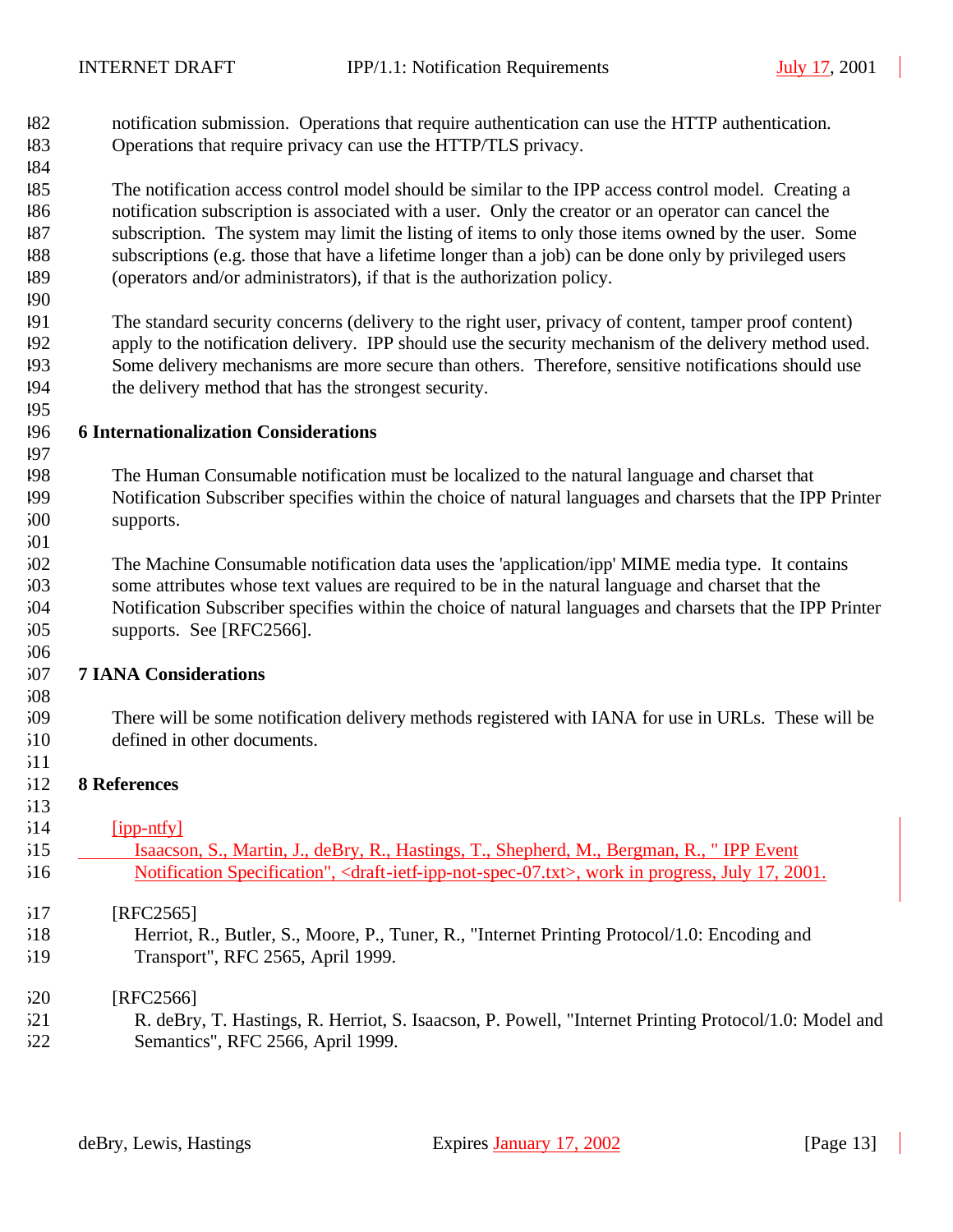| 182 | notification submission. Operations that require authentication can use the HTTP authentication. |
|-----|--------------------------------------------------------------------------------------------------|
| 183 | Operations that require privacy can use the HTTP/TLS privacy.                                    |

 The notification access control model should be similar to the IPP access control model. Creating a notification subscription is associated with a user. Only the creator or an operator can cancel the subscription. The system may limit the listing of items to only those items owned by the user. Some subscriptions (e.g. those that have a lifetime longer than a job) can be done only by privileged users (operators and/or administrators), if that is the authorization policy.

 The standard security concerns (delivery to the right user, privacy of content, tamper proof content) apply to the notification delivery. IPP should use the security mechanism of the delivery method used. Some delivery mechanisms are more secure than others. Therefore, sensitive notifications should use the delivery method that has the strongest security.

## **6 Internationalization Considerations**

- The Human Consumable notification must be localized to the natural language and charset that Notification Subscriber specifies within the choice of natural languages and charsets that the IPP Printer supports.
- 

 The Machine Consumable notification data uses the 'application/ipp' MIME media type. It contains some attributes whose text values are required to be in the natural language and charset that the Notification Subscriber specifies within the choice of natural languages and charsets that the IPP Printer

- supports. See [RFC2566].
- 

## **7 IANA Considerations**

 There will be some notification delivery methods registered with IANA for use in URLs. These will be defined in other documents. 

## **8 References**

| 514 | [ipp-ntfy] |  |
|-----|------------|--|
|     |            |  |

| 515 | Isaacson, S., Martin, J., deBry, R., Hastings, T., Shepherd, M., Bergman, R., "IPP Event                                         |
|-----|----------------------------------------------------------------------------------------------------------------------------------|
| 516 | Notification Specification", <draft-ietf-ipp-not-spec-07.txt>, work in progress, July 17, 2001.</draft-ietf-ipp-not-spec-07.txt> |

## [RFC2565]

 Herriot, R., Butler, S., Moore, P., Tuner, R., "Internet Printing Protocol/1.0: Encoding and Transport", RFC 2565, April 1999.

# [RFC2566]

 R. deBry, T. Hastings, R. Herriot, S. Isaacson, P. Powell, "Internet Printing Protocol/1.0: Model and Semantics", RFC 2566, April 1999.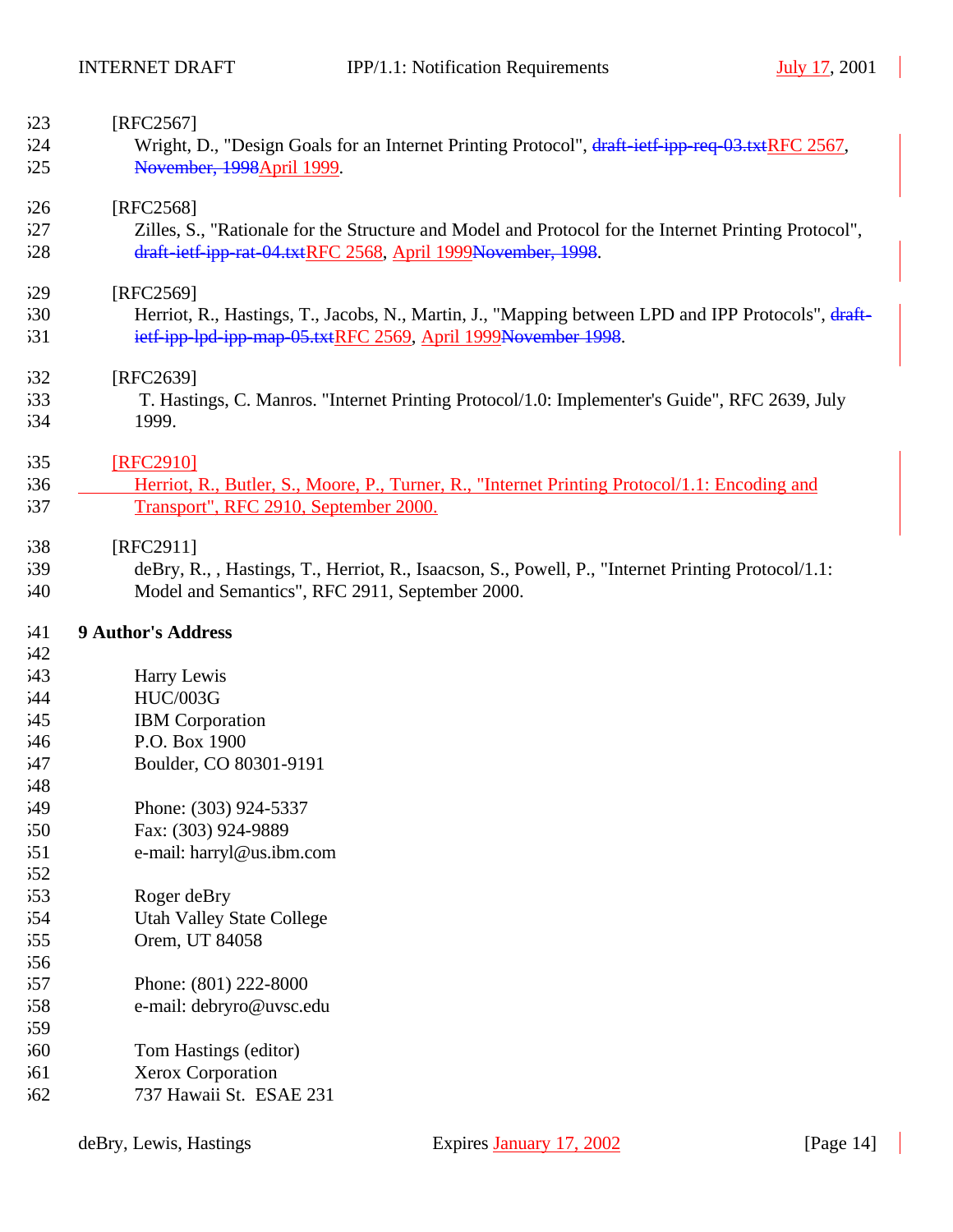| 523 | [RFC2567]                                                                                            |
|-----|------------------------------------------------------------------------------------------------------|
| 524 | Wright, D., "Design Goals for an Internet Printing Protocol", draft-ietf-ipp-req-03.txtRFC 2567,     |
| 525 | November, 1998April 1999.                                                                            |
| 526 | [RFC2568]                                                                                            |
| 527 | Zilles, S., "Rationale for the Structure and Model and Protocol for the Internet Printing Protocol", |
| 528 | draft-ietf-ipp-rat-04.txtRFC 2568, April 1999November, 1998.                                         |
| 529 | [RFC2569]                                                                                            |
| 530 | Herriot, R., Hastings, T., Jacobs, N., Martin, J., "Mapping between LPD and IPP Protocols", draft-   |
| 531 | ietf-ipp-lpd-ipp-map-05.txtRFC 2569, April 1999November 1998.                                        |
| 532 | [RFC2639]                                                                                            |
| 533 | T. Hastings, C. Manros. "Internet Printing Protocol/1.0: Implementer's Guide", RFC 2639, July        |
| 534 | 1999.                                                                                                |
| 535 | [RFC2910]                                                                                            |
| 536 | Herriot, R., Butler, S., Moore, P., Turner, R., "Internet Printing Protocol/1.1: Encoding and        |
| 537 | Transport", RFC 2910, September 2000.                                                                |
| 538 | [RFC2911]                                                                                            |
| 539 | deBry, R., , Hastings, T., Herriot, R., Isaacson, S., Powell, P., "Internet Printing Protocol/1.1:   |
| 540 | Model and Semantics", RFC 2911, September 2000.                                                      |
| 541 | <b>9 Author's Address</b>                                                                            |
| 542 |                                                                                                      |
| 543 | Harry Lewis                                                                                          |
| 544 | <b>HUC/003G</b>                                                                                      |
| 545 | <b>IBM</b> Corporation                                                                               |
| 546 | P.O. Box 1900                                                                                        |
| 547 | Boulder, CO 80301-9191                                                                               |
| 548 |                                                                                                      |
| 549 | Phone: (303) 924-5337                                                                                |
| 550 | Fax: (303) 924-9889                                                                                  |
| 551 | e-mail: harryl@us.ibm.com                                                                            |
| 552 |                                                                                                      |
| 553 | Roger deBry                                                                                          |
| 554 | <b>Utah Valley State College</b>                                                                     |
| 555 | Orem, UT 84058                                                                                       |
| 556 |                                                                                                      |
| 557 | Phone: (801) 222-8000                                                                                |
| 558 | e-mail: debryro@uvsc.edu                                                                             |
| 559 |                                                                                                      |
| 560 |                                                                                                      |
|     |                                                                                                      |
| 561 | Tom Hastings (editor)<br>Xerox Corporation                                                           |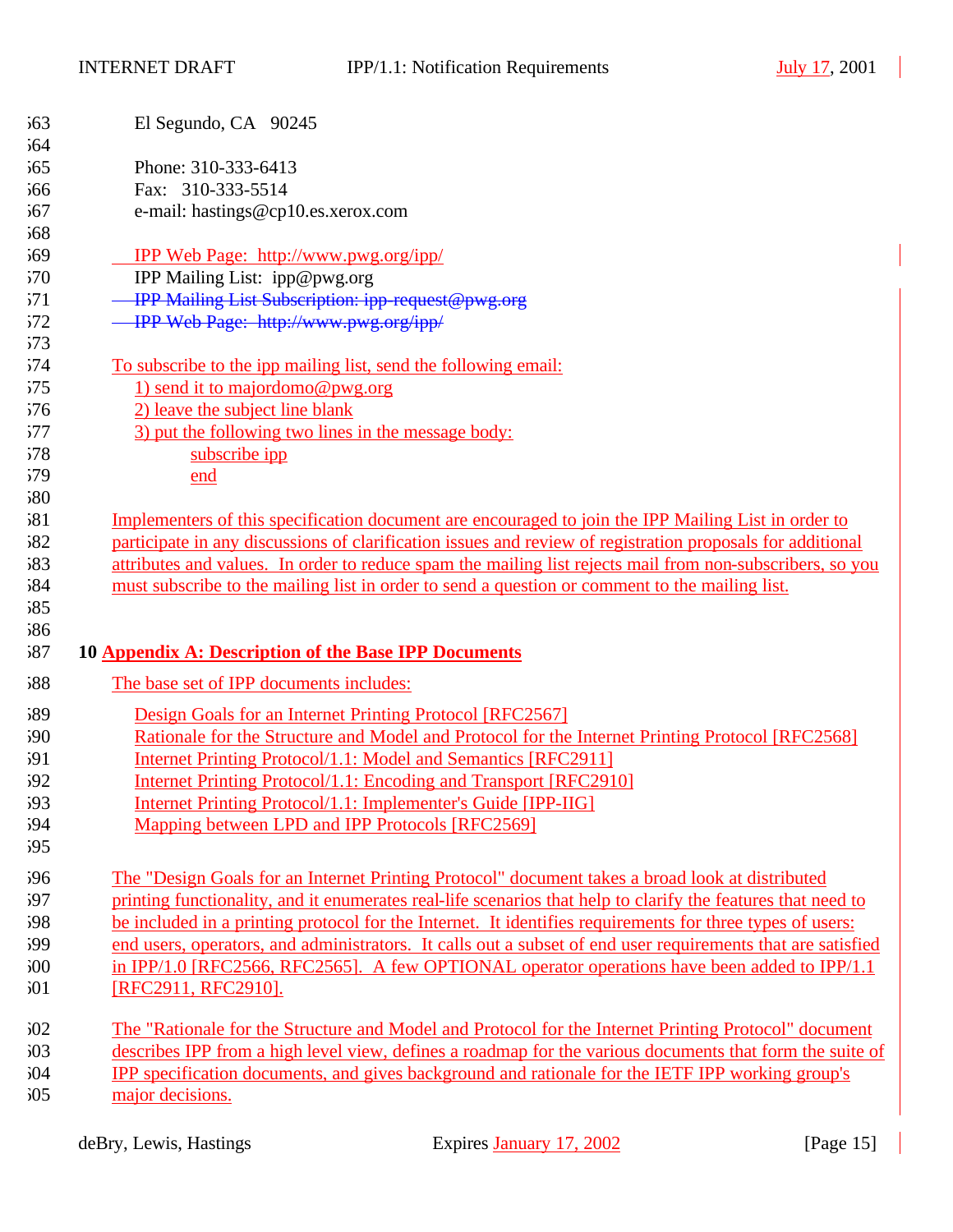| 563        | El Segundo, CA 90245                                                                                         |
|------------|--------------------------------------------------------------------------------------------------------------|
| 564        |                                                                                                              |
| 565        | Phone: 310-333-6413                                                                                          |
| 566        | Fax: 310-333-5514                                                                                            |
| 567        | e-mail: hastings@cp10.es.xerox.com                                                                           |
| 568        |                                                                                                              |
| 569        | <b>IPP Web Page: http://www.pwg.org/ipp/</b>                                                                 |
| 570        | IPP Mailing List: ipp@pwg.org                                                                                |
| 571        | - IPP Mailing List Subscription: ipp-request@pwg.org                                                         |
| 572        | - IPP Web Page: http://www.pwg.org/ipp/                                                                      |
| 573        |                                                                                                              |
| 574        | To subscribe to the ipp mailing list, send the following email:                                              |
| 575        | 1) send it to majordomo@pwg.org                                                                              |
| 576        | 2) leave the subject line blank                                                                              |
| 577        | 3) put the following two lines in the message body:                                                          |
| 578        | subscribe ipp                                                                                                |
| 579        | end                                                                                                          |
| 580        |                                                                                                              |
| 581        | Implementers of this specification document are encouraged to join the IPP Mailing List in order to          |
| 582        | participate in any discussions of clarification issues and review of registration proposals for additional   |
| 583        | attributes and values. In order to reduce spam the mailing list rejects mail from non-subscribers, so you    |
|            |                                                                                                              |
| 584        | must subscribe to the mailing list in order to send a question or comment to the mailing list.               |
| 585        |                                                                                                              |
| 586        |                                                                                                              |
| 587        | 10 Appendix A: Description of the Base IPP Documents                                                         |
| 588        | The base set of IPP documents includes:                                                                      |
|            |                                                                                                              |
| 589        | Design Goals for an Internet Printing Protocol [RFC2567]                                                     |
| 590        | Rationale for the Structure and Model and Protocol for the Internet Printing Protocol [RFC2568]              |
| 591        | <b>Internet Printing Protocol/1.1: Model and Semantics [RFC2911]</b>                                         |
| 592        | Internet Printing Protocol/1.1: Encoding and Transport [RFC2910]                                             |
| 593        | <b>Internet Printing Protocol/1.1: Implementer's Guide [IPP-IIG]</b>                                         |
| 594<br>595 | Mapping between LPD and IPP Protocols [RFC2569]                                                              |
|            |                                                                                                              |
| 596        | The "Design Goals for an Internet Printing Protocol" document takes a broad look at distributed              |
| 597        | printing functionality, and it enumerates real-life scenarios that help to clarify the features that need to |
| 598        | be included in a printing protocol for the Internet. It identifies requirements for three types of users:    |
| 599        | end users, operators, and administrators. It calls out a subset of end user requirements that are satisfied  |
| 500        | in IPP/1.0 [RFC2566, RFC2565]. A few OPTIONAL operator operations have been added to IPP/1.1                 |
| 501        | [RFC2911, RFC2910].                                                                                          |
| 502        | The "Rationale for the Structure and Model and Protocol for the Internet Printing Protocol" document         |
| 503        | describes IPP from a high level view, defines a roadmap for the various documents that form the suite of     |
| 504        | IPP specification documents, and gives background and rationale for the IETF IPP working group's             |